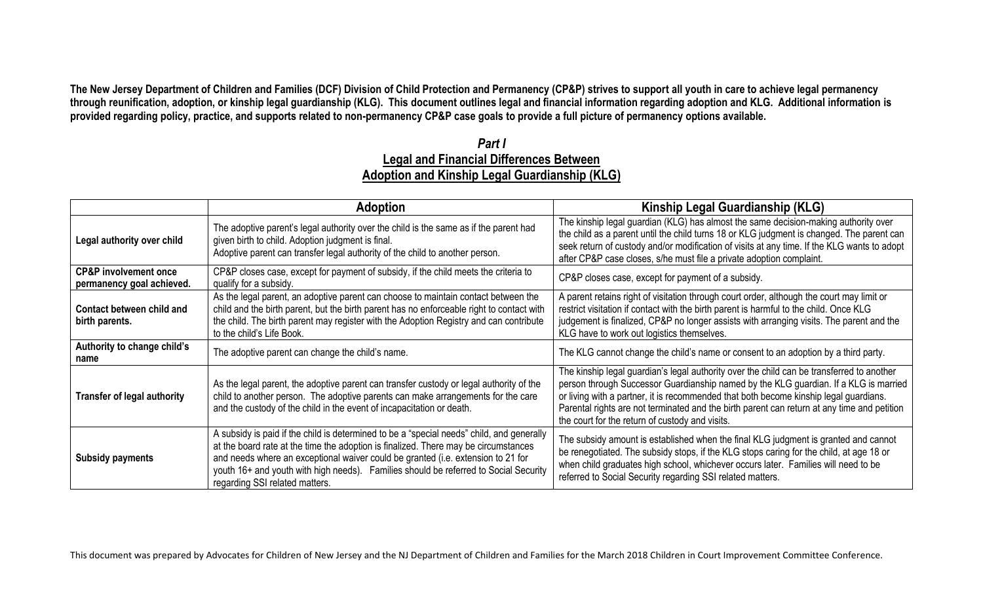**The New Jersey Department of Children and Families (DCF) Division of Child Protection and Permanency (CP&P) strives to support all youth in care to achieve legal permanency through reunification, adoption, or kinship legal guardianship (KLG). This document outlines legal and financial information regarding adoption and KLG. Additional information is provided regarding policy, practice, and supports related to non-permanency CP&P case goals to provide a full picture of permanency options available.**

## *Part I* **Legal and Financial Differences Between Adoption and Kinship Legal Guardianship (KLG)**

|                                                               | <b>Adoption</b>                                                                                                                                                                                                                                                                                                                                                                                | Kinship Legal Guardianship (KLG)                                                                                                                                                                                                                                                                                                                                                                                             |  |
|---------------------------------------------------------------|------------------------------------------------------------------------------------------------------------------------------------------------------------------------------------------------------------------------------------------------------------------------------------------------------------------------------------------------------------------------------------------------|------------------------------------------------------------------------------------------------------------------------------------------------------------------------------------------------------------------------------------------------------------------------------------------------------------------------------------------------------------------------------------------------------------------------------|--|
| Legal authority over child                                    | The adoptive parent's legal authority over the child is the same as if the parent had<br>given birth to child. Adoption judgment is final.<br>Adoptive parent can transfer legal authority of the child to another person.                                                                                                                                                                     | The kinship legal guardian (KLG) has almost the same decision-making authority over<br>the child as a parent until the child turns 18 or KLG judgment is changed. The parent can<br>seek return of custody and/or modification of visits at any time. If the KLG wants to adopt<br>after CP&P case closes, s/he must file a private adoption complaint.                                                                      |  |
| <b>CP&amp;P</b> involvement once<br>permanency goal achieved. | CP&P closes case, except for payment of subsidy, if the child meets the criteria to<br>qualify for a subsidy.                                                                                                                                                                                                                                                                                  | CP&P closes case, except for payment of a subsidy.                                                                                                                                                                                                                                                                                                                                                                           |  |
| Contact between child and<br>birth parents.                   | As the legal parent, an adoptive parent can choose to maintain contact between the<br>child and the birth parent, but the birth parent has no enforceable right to contact with<br>the child. The birth parent may register with the Adoption Registry and can contribute<br>to the child's Life Book.                                                                                         | A parent retains right of visitation through court order, although the court may limit or<br>restrict visitation if contact with the birth parent is harmful to the child. Once KLG<br>judgement is finalized, CP&P no longer assists with arranging visits. The parent and the<br>KLG have to work out logistics themselves.                                                                                                |  |
| Authority to change child's<br>name                           | The adoptive parent can change the child's name.                                                                                                                                                                                                                                                                                                                                               | The KLG cannot change the child's name or consent to an adoption by a third party.                                                                                                                                                                                                                                                                                                                                           |  |
| <b>Transfer of legal authority</b>                            | As the legal parent, the adoptive parent can transfer custody or legal authority of the<br>child to another person. The adoptive parents can make arrangements for the care<br>and the custody of the child in the event of incapacitation or death.                                                                                                                                           | The kinship legal guardian's legal authority over the child can be transferred to another<br>person through Successor Guardianship named by the KLG guardian. If a KLG is married<br>or living with a partner, it is recommended that both become kinship legal guardians.<br>Parental rights are not terminated and the birth parent can return at any time and petition<br>the court for the return of custody and visits. |  |
| <b>Subsidy payments</b>                                       | A subsidy is paid if the child is determined to be a "special needs" child, and generally<br>at the board rate at the time the adoption is finalized. There may be circumstances<br>and needs where an exceptional waiver could be granted (i.e. extension to 21 for<br>youth 16+ and youth with high needs). Families should be referred to Social Security<br>regarding SSI related matters. | The subsidy amount is established when the final KLG judgment is granted and cannot<br>be renegotiated. The subsidy stops, if the KLG stops caring for the child, at age 18 or<br>when child graduates high school, whichever occurs later. Families will need to be<br>referred to Social Security regarding SSI related matters.                                                                                           |  |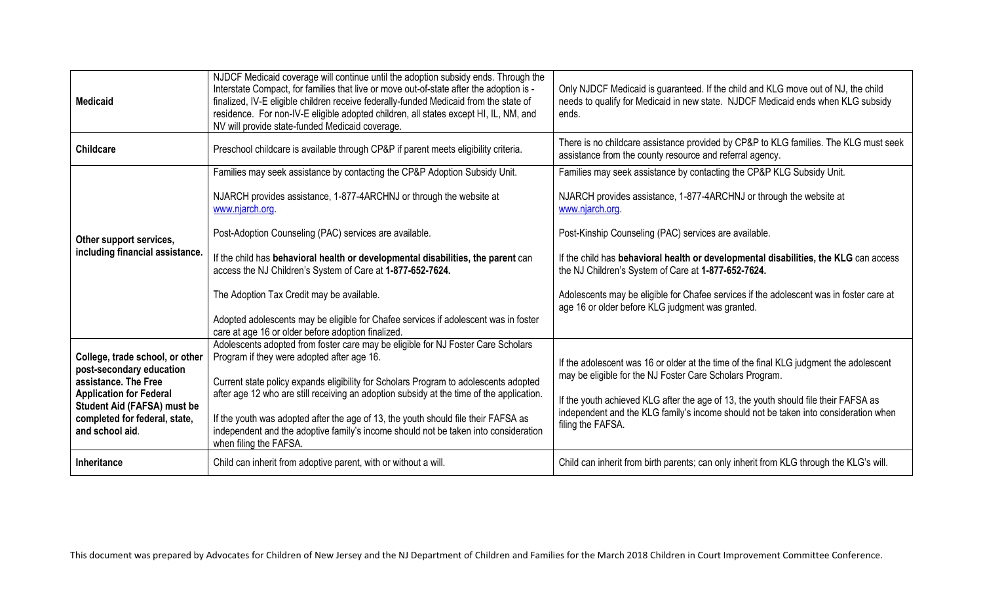| <b>Medicaid</b>                                                                                                                                                                                                 | NJDCF Medicaid coverage will continue until the adoption subsidy ends. Through the<br>Interstate Compact, for families that live or move out-of-state after the adoption is -<br>finalized, IV-E eligible children receive federally-funded Medicaid from the state of<br>residence. For non-IV-E eligible adopted children, all states except HI, IL, NM, and<br>NV will provide state-funded Medicaid coverage.                                                                                                         | Only NJDCF Medicaid is guaranteed. If the child and KLG move out of NJ, the child<br>needs to qualify for Medicaid in new state. NJDCF Medicaid ends when KLG subsidy<br>ends.                                                                                                                                                                        |
|-----------------------------------------------------------------------------------------------------------------------------------------------------------------------------------------------------------------|---------------------------------------------------------------------------------------------------------------------------------------------------------------------------------------------------------------------------------------------------------------------------------------------------------------------------------------------------------------------------------------------------------------------------------------------------------------------------------------------------------------------------|-------------------------------------------------------------------------------------------------------------------------------------------------------------------------------------------------------------------------------------------------------------------------------------------------------------------------------------------------------|
| <b>Childcare</b>                                                                                                                                                                                                | Preschool childcare is available through CP&P if parent meets eligibility criteria.                                                                                                                                                                                                                                                                                                                                                                                                                                       | There is no childcare assistance provided by CP&P to KLG families. The KLG must seek<br>assistance from the county resource and referral agency.                                                                                                                                                                                                      |
|                                                                                                                                                                                                                 | Families may seek assistance by contacting the CP&P Adoption Subsidy Unit.                                                                                                                                                                                                                                                                                                                                                                                                                                                | Families may seek assistance by contacting the CP&P KLG Subsidy Unit.                                                                                                                                                                                                                                                                                 |
| Other support services,<br>including financial assistance.                                                                                                                                                      | NJARCH provides assistance, 1-877-4ARCHNJ or through the website at<br>www.njarch.org.                                                                                                                                                                                                                                                                                                                                                                                                                                    | NJARCH provides assistance, 1-877-4ARCHNJ or through the website at<br>www.njarch.org.                                                                                                                                                                                                                                                                |
|                                                                                                                                                                                                                 | Post-Adoption Counseling (PAC) services are available.                                                                                                                                                                                                                                                                                                                                                                                                                                                                    | Post-Kinship Counseling (PAC) services are available.                                                                                                                                                                                                                                                                                                 |
|                                                                                                                                                                                                                 | If the child has behavioral health or developmental disabilities, the parent can<br>access the NJ Children's System of Care at 1-877-652-7624.                                                                                                                                                                                                                                                                                                                                                                            | If the child has behavioral health or developmental disabilities, the KLG can access<br>the NJ Children's System of Care at 1-877-652-7624.                                                                                                                                                                                                           |
|                                                                                                                                                                                                                 | The Adoption Tax Credit may be available.                                                                                                                                                                                                                                                                                                                                                                                                                                                                                 | Adolescents may be eligible for Chafee services if the adolescent was in foster care at<br>age 16 or older before KLG judgment was granted.                                                                                                                                                                                                           |
|                                                                                                                                                                                                                 | Adopted adolescents may be eligible for Chafee services if adolescent was in foster<br>care at age 16 or older before adoption finalized.                                                                                                                                                                                                                                                                                                                                                                                 |                                                                                                                                                                                                                                                                                                                                                       |
| College, trade school, or other<br>post-secondary education<br>assistance. The Free<br><b>Application for Federal</b><br><b>Student Aid (FAFSA) must be</b><br>completed for federal, state,<br>and school aid. | Adolescents adopted from foster care may be eligible for NJ Foster Care Scholars<br>Program if they were adopted after age 16.<br>Current state policy expands eligibility for Scholars Program to adolescents adopted<br>after age 12 who are still receiving an adoption subsidy at the time of the application.<br>If the youth was adopted after the age of 13, the youth should file their FAFSA as<br>independent and the adoptive family's income should not be taken into consideration<br>when filing the FAFSA. | If the adolescent was 16 or older at the time of the final KLG judgment the adolescent<br>may be eligible for the NJ Foster Care Scholars Program.<br>If the youth achieved KLG after the age of 13, the youth should file their FAFSA as<br>independent and the KLG family's income should not be taken into consideration when<br>filing the FAFSA. |
| <b>Inheritance</b>                                                                                                                                                                                              | Child can inherit from adoptive parent, with or without a will.                                                                                                                                                                                                                                                                                                                                                                                                                                                           | Child can inherit from birth parents; can only inherit from KLG through the KLG's will.                                                                                                                                                                                                                                                               |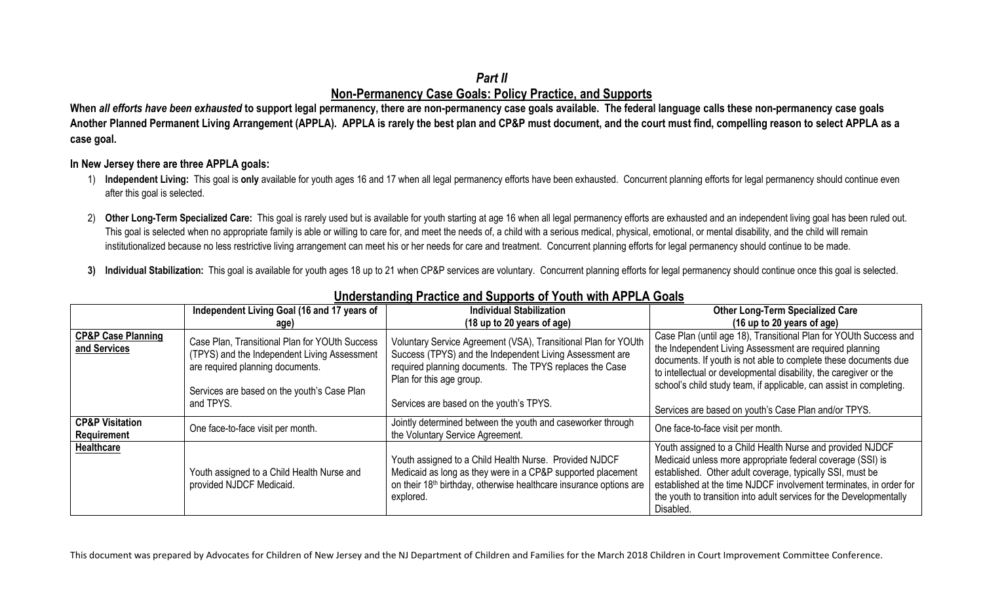## *Part II* **Non-Permanency Case Goals: Policy Practice, and Supports**

**When** *all efforts have been exhausted* **to support legal permanency, there are non-permanency case goals available. The federal language calls these non-permanency case goals Another Planned Permanent Living Arrangement (APPLA). APPLA is rarely the best plan and CP&P must document, and the court must find, compelling reason to select APPLA as a case goal.** 

## **In New Jersey there are three APPLA goals:**

- 1) **Independent Living:** This goal is **only** available for youth ages 16 and 17 when all legal permanency efforts have been exhausted. Concurrent planning efforts for legal permanency should continue even after this goal is selected.
- 2) Other Long-Term Specialized Care: This goal is rarely used but is available for youth starting at age 16 when all legal permanency efforts are exhausted and an independent living goal has been ruled out. This goal is selected when no appropriate family is able or willing to care for, and meet the needs of, a child with a serious medical, physical, emotional, or mental disability, and the child will remain institutionalized because no less restrictive living arrangement can meet his or her needs for care and treatment. Concurrent planning efforts for legal permanency should continue to be made.
- **3) Individual Stabilization:** This goal is available for youth ages 18 up to 21 when CP&P services are voluntary. Concurrent planning efforts for legal permanency should continue once this goal is selected.

|                                               | Independent Living Goal (16 and 17 years of                                                                                                                                       | <b>Individual Stabilization</b>                                                                                                                                                                                      | <b>Other Long-Term Specialized Care</b>                                                                                                                                                                                                                                                                                                        |
|-----------------------------------------------|-----------------------------------------------------------------------------------------------------------------------------------------------------------------------------------|----------------------------------------------------------------------------------------------------------------------------------------------------------------------------------------------------------------------|------------------------------------------------------------------------------------------------------------------------------------------------------------------------------------------------------------------------------------------------------------------------------------------------------------------------------------------------|
|                                               | age)                                                                                                                                                                              | (18 up to 20 years of age)                                                                                                                                                                                           | (16 up to 20 years of age)                                                                                                                                                                                                                                                                                                                     |
| <b>CP&amp;P Case Planning</b><br>and Services | Case Plan, Transitional Plan for YOUth Success<br>(TPYS) and the Independent Living Assessment<br>are required planning documents.<br>Services are based on the youth's Case Plan | Voluntary Service Agreement (VSA), Transitional Plan for YOUth<br>Success (TPYS) and the Independent Living Assessment are<br>required planning documents. The TPYS replaces the Case<br>Plan for this age group.    | Case Plan (until age 18), Transitional Plan for YOUth Success and<br>the Independent Living Assessment are required planning<br>documents. If youth is not able to complete these documents due<br>to intellectual or developmental disability, the caregiver or the<br>school's child study team, if applicable, can assist in completing.    |
|                                               | and TPYS.                                                                                                                                                                         | Services are based on the youth's TPYS.                                                                                                                                                                              | Services are based on youth's Case Plan and/or TPYS.                                                                                                                                                                                                                                                                                           |
| <b>CP&amp;P Visitation</b><br>Requirement     | One face-to-face visit per month.                                                                                                                                                 | Jointly determined between the youth and caseworker through<br>the Voluntary Service Agreement.                                                                                                                      | One face-to-face visit per month.                                                                                                                                                                                                                                                                                                              |
| <b>Healthcare</b>                             | Youth assigned to a Child Health Nurse and<br>provided NJDCF Medicaid.                                                                                                            | Youth assigned to a Child Health Nurse. Provided NJDCF<br>Medicaid as long as they were in a CP&P supported placement<br>on their 18 <sup>th</sup> birthday, otherwise healthcare insurance options are<br>explored. | Youth assigned to a Child Health Nurse and provided NJDCF<br>Medicaid unless more appropriate federal coverage (SSI) is<br>established. Other adult coverage, typically SSI, must be<br>established at the time NJDCF involvement terminates, in order for<br>the youth to transition into adult services for the Developmentally<br>Disabled. |

## **Understanding Practice and Supports of Youth with APPLA Goals**